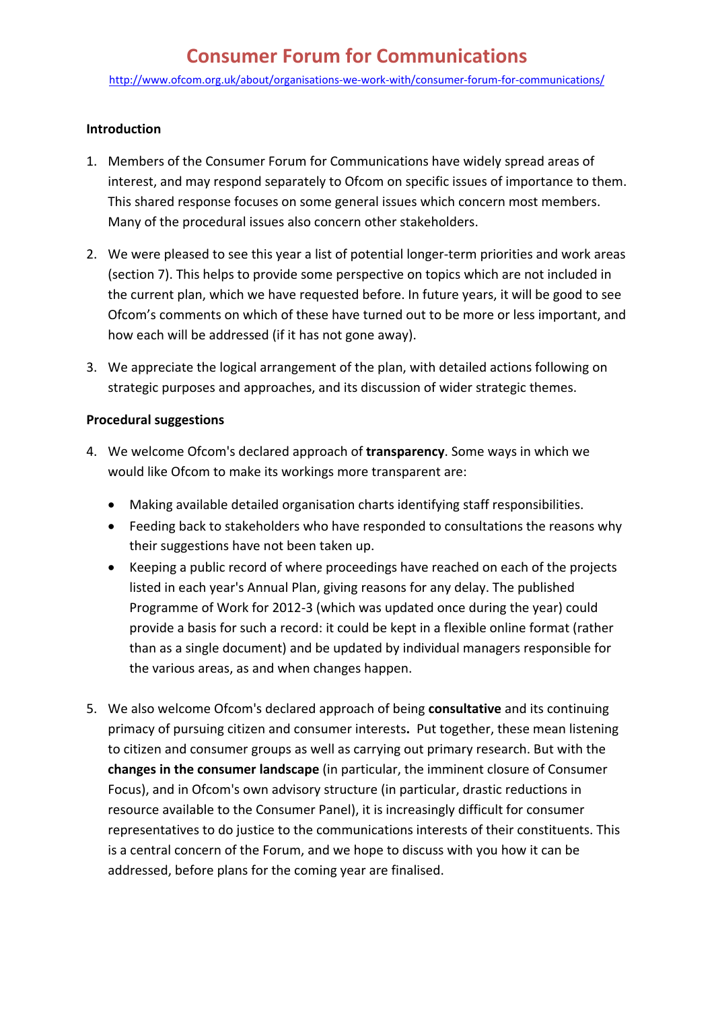# **Consumer Forum for Communications**

<http://www.ofcom.org.uk/about/organisations-we-work-with/consumer-forum-for-communications/>

#### **Introduction**

- 1. Members of the Consumer Forum for Communications have widely spread areas of interest, and may respond separately to Ofcom on specific issues of importance to them. This shared response focuses on some general issues which concern most members. Many of the procedural issues also concern other stakeholders.
- 2. We were pleased to see this year a list of potential longer-term priorities and work areas (section 7). This helps to provide some perspective on topics which are not included in the current plan, which we have requested before. In future years, it will be good to see Ofcom's comments on which of these have turned out to be more or less important, and how each will be addressed (if it has not gone away).
- 3. We appreciate the logical arrangement of the plan, with detailed actions following on strategic purposes and approaches, and its discussion of wider strategic themes.

### **Procedural suggestions**

- 4. We welcome Ofcom's declared approach of **transparency**. Some ways in which we would like Ofcom to make its workings more transparent are:
	- Making available detailed organisation charts identifying staff responsibilities.
	- Feeding back to stakeholders who have responded to consultations the reasons why their suggestions have not been taken up.
	- Keeping a public record of where proceedings have reached on each of the projects listed in each year's Annual Plan, giving reasons for any delay. The published Programme of Work for 2012-3 (which was updated once during the year) could provide a basis for such a record: it could be kept in a flexible online format (rather than as a single document) and be updated by individual managers responsible for the various areas, as and when changes happen.
- 5. We also welcome Ofcom's declared approach of being **consultative** and its continuing primacy of pursuing citizen and consumer interests**.** Put together, these mean listening to citizen and consumer groups as well as carrying out primary research. But with the **changes in the consumer landscape** (in particular, the imminent closure of Consumer Focus), and in Ofcom's own advisory structure (in particular, drastic reductions in resource available to the Consumer Panel), it is increasingly difficult for consumer representatives to do justice to the communications interests of their constituents. This is a central concern of the Forum, and we hope to discuss with you how it can be addressed, before plans for the coming year are finalised.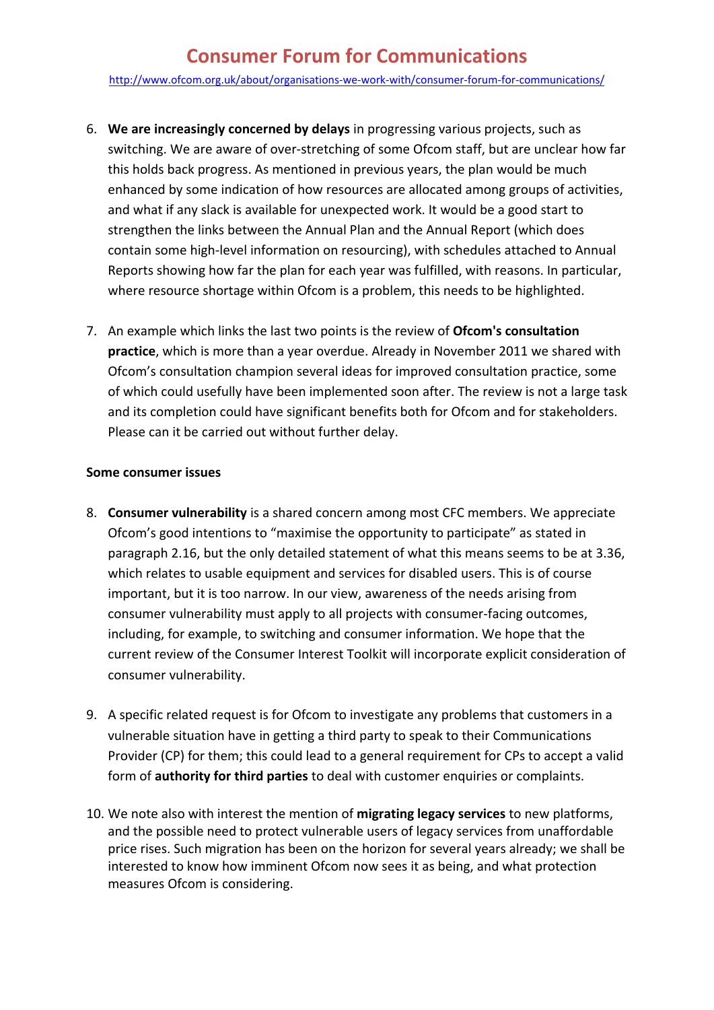### **Consumer Forum for Communications**

<http://www.ofcom.org.uk/about/organisations-we-work-with/consumer-forum-for-communications/>

- 6. **We are increasingly concerned by delays** in progressing various projects, such as switching. We are aware of over-stretching of some Ofcom staff, but are unclear how far this holds back progress. As mentioned in previous years, the plan would be much enhanced by some indication of how resources are allocated among groups of activities, and what if any slack is available for unexpected work. It would be a good start to strengthen the links between the Annual Plan and the Annual Report (which does contain some high-level information on resourcing), with schedules attached to Annual Reports showing how far the plan for each year was fulfilled, with reasons. In particular, where resource shortage within Ofcom is a problem, this needs to be highlighted.
- 7. An example which links the last two points is the review of **Ofcom's consultation practice**, which is more than a year overdue. Already in November 2011 we shared with Ofcom's consultation champion several ideas for improved consultation practice, some of which could usefully have been implemented soon after. The review is not a large task and its completion could have significant benefits both for Ofcom and for stakeholders. Please can it be carried out without further delay.

#### **Some consumer issues**

- 8. **Consumer vulnerability** is a shared concern among most CFC members. We appreciate Ofcom's good intentions to "maximise the opportunity to participate" as stated in paragraph 2.16, but the only detailed statement of what this means seems to be at 3.36, which relates to usable equipment and services for disabled users. This is of course important, but it is too narrow. In our view, awareness of the needs arising from consumer vulnerability must apply to all projects with consumer-facing outcomes, including, for example, to switching and consumer information. We hope that the current review of the Consumer Interest Toolkit will incorporate explicit consideration of consumer vulnerability.
- 9. A specific related request is for Ofcom to investigate any problems that customers in a vulnerable situation have in getting a third party to speak to their Communications Provider (CP) for them; this could lead to a general requirement for CPs to accept a valid form of **authority for third parties** to deal with customer enquiries or complaints.
- 10. We note also with interest the mention of **migrating legacy services** to new platforms, and the possible need to protect vulnerable users of legacy services from unaffordable price rises. Such migration has been on the horizon for several years already; we shall be interested to know how imminent Ofcom now sees it as being, and what protection measures Ofcom is considering.